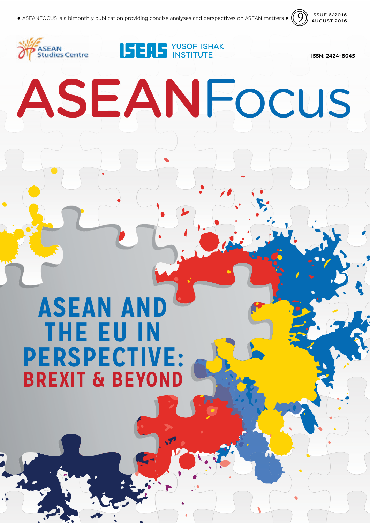

# **ISERS** YUSOF ISHAK **SEAN Studies Centre** ISSN: 2424-8045 ASEANFocus **ASEAN AND THE EU IN PERSPECTIVE: BREXIT & BEYOND**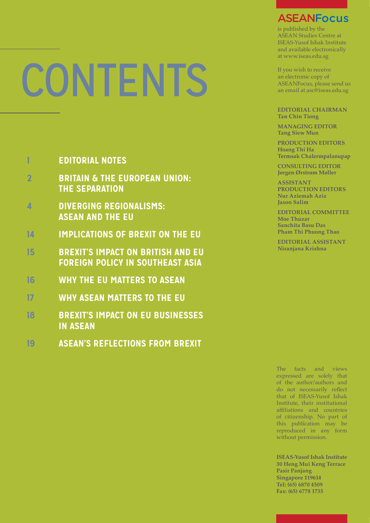# **CONTENT**

# **1 EDITORIAL NOTES**

- **2 BRITAIN & THE EUROPEAN UNION: THE SEPARATION**
- **4 DIVERGING REGIONALISMS: ASEAN AND THE EU**
- **14 IMPLICATIONS OF BREXIT ON THE EU**
- **15 BREXIT'S IMPACT ON BRITISH AND EU FOREIGN POLICY IN SOUTHEAST ASIA**
- **16 WHY THE EU MATTERS TO ASEAN**
- **17 WHY ASEAN MATTERS TO THE EU**
- **18 BREXIT'S IMPACT ON EU BUSINESSES IN ASEAN**
- **19 ASEAN'S REFLECTIONS FROM BREXIT**

# **ASEANFocus**

is published by the ASEAN Studies Centre at ISEAS-Yusof Ishak Institute and available electronically at www.iseas.edu.sg

If you wish to receive an electronic copy of ASEANFocus, please send us an email at asc@iseas.edu.sg

**EDITORIAL CHAIRMAN Tan Chin Tiong**

**MANAGING EDITOR Tang Siew Mun**

**PRODUCTION EDITORS Hoang Thi Ha Termsak Chalermpalanupap**

**CONSULTING EDITOR Jørgen Ørstrøm Møller**

**ASSISTANT PRODUCTION EDITORS Nur Aziemah Aziz Jason Salim**

**EDITORIAL COMMITTEE Moe Thuzar Sanchita Basu Das Pham Thi Phuong Thao** 

**EDITORIAL ASSISTANT Niranjana Krishna**

The facts and views expressed are solely that of the author/authors and do not necessarily reflect that of ISEAS-Yusof Ishak Institute, their institutional affiliations and countries of citizenship. No part of this publication may be reproduced in any form without permission.

**ISEAS-Yusof Ishak Institute 30 Heng Mui Keng Terrace Pasir Panjang Singapore 119614 Tel: (65) 6870 4509 Fax: (65) 6778 1735**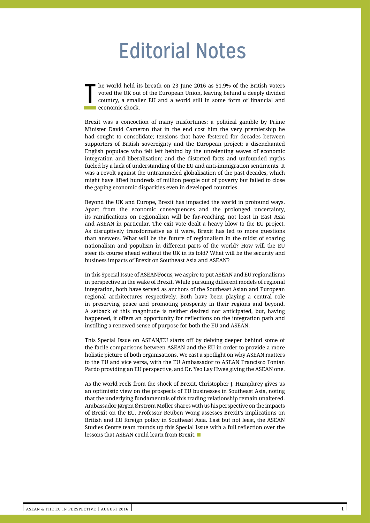# Editorial Notes

T he world held its breath on 23 June 2016 as 51.9% of the British voters voted the UK out of the European Union, leaving behind a deeply divided country, a smaller EU and a world still in some form of financial and economic shock.

Brexit was a concoction of many misfortunes: a political gamble by Prime Minister David Cameron that in the end cost him the very premiership he had sought to consolidate; tensions that have festered for decades between supporters of British sovereignty and the European project; a disenchanted English populace who felt left behind by the unrelenting waves of economic integration and liberalisation; and the distorted facts and unfounded myths fueled by a lack of understanding of the EU and anti-immigration sentiments. It was a revolt against the untrammeled globalisation of the past decades, which might have lifted hundreds of million people out of poverty but failed to close the gaping economic disparities even in developed countries.

Beyond the UK and Europe, Brexit has impacted the world in profound ways. Apart from the economic consequences and the prolonged uncertainty, its ramifications on regionalism will be far-reaching, not least in East Asia and ASEAN in particular. The exit vote dealt a heavy blow to the EU project. As disruptively transformative as it were, Brexit has led to more questions than answers. What will be the future of regionalism in the midst of soaring nationalism and populism in different parts of the world? How will the EU steer its course ahead without the UK in its fold? What will be the security and business impacts of Brexit on Southeast Asia and ASEAN?

In this Special Issue of ASEANFocus, we aspire to put ASEAN and EU regionalisms in perspective in the wake of Brexit. While pursuing different models of regional integration, both have served as anchors of the Southeast Asian and European regional architectures respectively. Both have been playing a central role in preserving peace and promoting prosperity in their regions and beyond. A setback of this magnitude is neither desired nor anticipated, but, having happened, it offers an opportunity for reflections on the integration path and instilling a renewed sense of purpose for both the EU and ASEAN.

This Special Issue on ASEAN/EU starts off by delving deeper behind some of the facile comparisons between ASEAN and the EU in order to provide a more holistic picture of both organisations. We cast a spotlight on why ASEAN matters to the EU and vice versa, with the EU Ambassador to ASEAN Francisco Fontan Pardo providing an EU perspective, and Dr. Yeo Lay Hwee giving the ASEAN one.

As the world reels from the shock of Brexit, Christopher J. Humphrey gives us an optimistic view on the prospects of EU businesses in Southeast Asia, noting that the underlying fundamentals of this trading relationship remain unaltered. Ambassador Jørgen Ørstrøm Møller shares with us his perspective on the impacts of Brexit on the EU. Professor Reuben Wong assesses Brexit's implications on British and EU foreign policy in Southeast Asia. Last but not least, the ASEAN Studies Centre team rounds up this Special Issue with a full reflection over the lessons that ASEAN could learn from Brexit. ■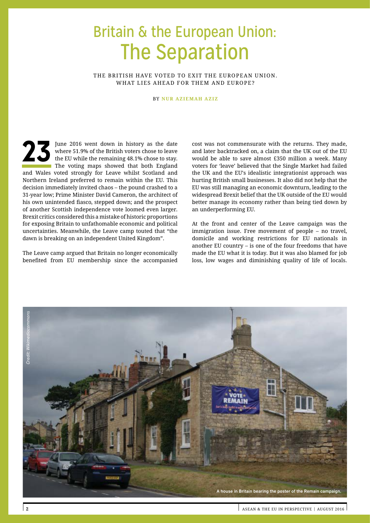# Britain & the European Union: The Separation

THE BRITISH HAVE VOTED TO EXIT THE EUROPEAN UNION. WHAT LIES AHEAD FOR THEM AND EUROPE?

BY **NUR AZIEMAH AZIZ**

23 **a** June 2016 went down in history as the date where 51.9% of the British voters chose to leave the EU while the remaining 48.1% chose to stay. The voting maps showed that both England and Wales voted strongly for Leave whilst Scotland and Northern Ireland preferred to remain within the EU. This decision immediately invited chaos – the pound crashed to a 31-year low; Prime Minister David Cameron, the architect of his own unintended fiasco, stepped down; and the prospect of another Scottish independence vote loomed even larger. Brexit critics considered this a mistake of historic proportions for exposing Britain to unfathomable economic and political uncertainties. Meanwhile, the Leave camp touted that "the dawn is breaking on an independent United Kingdom".

The Leave camp argued that Britain no longer economically benefited from EU membership since the accompanied cost was not commensurate with the returns. They made, and later backtracked on, a claim that the UK out of the EU would be able to save almost £350 million a week. Many voters for 'leave' believed that the Single Market had failed the UK and the EU's idealistic integrationist approach was hurting British small businesses. It also did not help that the EU was still managing an economic downturn, leading to the widespread Brexit belief that the UK outside of the EU would better manage its economy rather than being tied down by an underperforming EU.

At the front and center of the Leave campaign was the immigration issue. Free movement of people – no travel, domicile and working restrictions for EU nationals in another EU country – is one of the four freedoms that have made the EU what it is today. But it was also blamed for job loss, low wages and diminishing quality of life of locals.

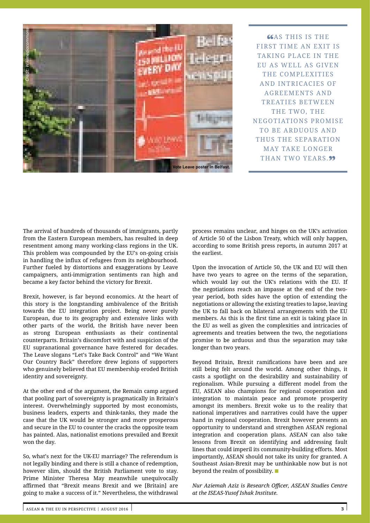

**GGAS THIS IS THE** FIRST TIME AN EXIT IS TAKING PLACE IN THE EU AS WELL AS GIVEN THE COMPLEXITIES AND INTRICACIES OF AGREEMENTS AND TREATIES BETWEEN THE TWO, THE NEGOTIATIONS PROMISE TO BE ARDUOUS AND THUS THE SEPARATION MAY TAKE LONGER THAN TWO YEARS.<sup>99</sup>

The arrival of hundreds of thousands of immigrants, partly from the Eastern European members, has resulted in deep resentment among many working-class regions in the UK. This problem was compounded by the EU's on-going crisis in handling the influx of refugees from its neighbourhood. Further fueled by distortions and exaggerations by Leave campaigners, anti-immigration sentiments ran high and became a key factor behind the victory for Brexit.

Brexit, however, is far beyond economics. At the heart of this story is the longstanding ambivalence of the British towards the EU integration project. Being never purely European, due to its geography and extensive links with other parts of the world, the British have never been as strong European enthusiasts as their continental counterparts. Britain's discomfort with and suspicion of the EU supranational governance have festered for decades. The Leave slogans "Let's Take Back Control" and "We Want Our Country Back" therefore drew legions of supporters who genuinely believed that EU membership eroded British identity and sovereignty.

At the other end of the argument, the Remain camp argued that pooling part of sovereignty is pragmatically in Britain's interest. Overwhelmingly supported by most economists, business leaders, experts and think-tanks, they made the case that the UK would be stronger and more prosperous and secure in the EU to counter the cracks the opposite team has painted. Alas, nationalist emotions prevailed and Brexit won the day.

So, what's next for the UK-EU marriage? The referendum is not legally binding and there is still a chance of redemption, however slim, should the British Parliament vote to stay. Prime Minister Theresa May meanwhile unequivocally affirmed that "Brexit means Brexit and we [Britain] are going to make a success of it." Nevertheless, the withdrawal process remains unclear, and hinges on the UK's activation of Article 50 of the Lisbon Treaty, which will only happen, according to some British press reports, in autumn 2017 at the earliest.

Upon the invocation of Article 50, the UK and EU will then have two years to agree on the terms of the separation, which would lay out the UK's relations with the EU. If the negotiations reach an impasse at the end of the twoyear period, both sides have the option of extending the negotiations or allowing the existing treaties to lapse, leaving the UK to fall back on bilateral arrangements with the EU members. As this is the first time an exit is taking place in the EU as well as given the complexities and intricacies of agreements and treaties between the two, the negotiations promise to be arduous and thus the separation may take longer than two years.

Beyond Britain, Brexit ramifications have been and are still being felt around the world. Among other things, it casts a spotlight on the desirability and sustainability of regionalism. While pursuing a different model from the EU, ASEAN also champions for regional cooperation and integration to maintain peace and promote prosperity amongst its members. Brexit woke us to the reality that national imperatives and narratives could have the upper hand in regional cooperation. Brexit however presents an opportunity to understand and strengthen ASEAN regional integration and cooperation plans. ASEAN can also take lessons from Brexit on identifying and addressing fault lines that could imperil its community-building efforts. Most importantly, ASEAN should not take its unity for granted. A Southeast Asian-Brexit may be unthinkable now but is not beyond the realm of possibility. ■

*Nur Aziemah Aziz is Research Officer, ASEAN Studies Centre at the ISEAS-Yusof Ishak Institute.*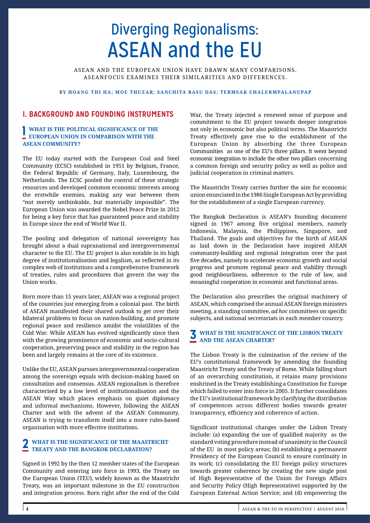# Diverging Regionalisms: ASEAN and the EU

ASEAN AND THE EUROPEAN UNION HAVE DRAWN MANY COMPARISONS. ASEANFOCUS EXAMINES THEIR SIMILARITIES AND DIFFERENCES.

## BY **HOANG THI HA; MOE THUZAR; SANCHITA BASU DAS; TERMSAK CHALERMPALANUPAP**

# **I. BACKGROUND AND FOUNDING INSTRUMENTS**

# **1 WHAT IS THE POLITICAL SIGNIFICANCE OF THE EUROPEAN UNION IN COMPARISON WITH THE ASEAN COMMUNITY?**

The EU today started with the European Coal and Steel Community (ECSC) established in 1951 by Belgium, France, the Federal Republic of Germany, Italy, Luxembourg, the Netherlands. The ECSC pooled the control of these strategic resources and developed common economic interests among the erstwhile enemies, making any war between them "not merely unthinkable, but materially impossible". The European Union was awarded the Nobel Peace Prize in 2012 for being a key force that has guaranteed peace and stability in Europe since the end of World War II.

The pooling and delegation of national sovereignty has brought about a dual supranational and intergovernmental character to the EU. The EU project is also notable in its high degree of institutionalisation and legalism, as reflected in its complex web of institutions and a comprehensive framework of treaties, rules and procedures that govern the way the Union works.

Born more than 15 years later, ASEAN was a regional project of the countries just emerging from a colonial past. The birth of ASEAN manifested their shared outlook to get over their bilateral problems to focus on nation-building, and promote regional peace and resilience amidst the volatilities of the Cold War. While ASEAN has evolved significantly since then with the growing prominence of economic and socio-cultural cooperation, preserving peace and stability in the region has been and largely remains at the core of its existence.

Unlike the EU, ASEAN pursues intergovernmental cooperation among the sovereign equals with decision-making based on consultation and consensus. ASEAN regionalism is therefore characterised by a low level of institutionalisation and the ASEAN Way which places emphasis on quiet diplomacy and informal mechanisms. However, following the ASEAN Charter and with the advent of the ASEAN Community, ASEAN is trying to transform itself into a more rules-based organisation with more effective institutions.

# **2 WHAT IS THE SIGNIFICANCE OF THE MAASTRICHT TREATY AND THE BANGKOK DECLARATION?**

Signed in 1992 by the then 12 member states of the European Community and entering into force in 1993, the Treaty on the European Union (TEU), widely known as the Maastricht Treaty, was an important milestone in the EU construction and integration process. Born right after the end of the Cold

War, the Treaty injected a renewed sense of purpose and commitment to the EU project towards deeper integration not only in economic but also political terms. The Maastricht Treaty effectively gave rise to the establishment of the European Union by absorbing the three European Communities as one of the EU's three pillars. It went beyond economic integration to include the other two pillars concerning a common foreign and security policy as well as police and judicial cooperation in criminal matters.

The Maastricht Treaty carries further the aim for economic union enunciated in the 1986 Single European Act by providing for the establishment of a single European currency.

The Bangkok Declaration is ASEAN's founding document signed in 1967 among five original members, namely Indonesia, Malaysia, the Philippines, Singapore, and Thailand. The goals and objectives for the birth of ASEAN as laid down in the Declaration have inspired ASEAN community-building and regional integration over the past five decades, namely to accelerate economic growth and social progress and promote regional peace and stability through good neighbourliness, adherence to the rule of law, and meaningful cooperation in economic and functional areas.

The Declaration also prescribes the original machinery of ASEAN, which comprised the annual ASEAN foreign ministers meeting, a standing committee, *ad hoc* committees on specific subjects, and national secretariats in each member country.

# **3 WHAT IS THE SIGNIFICANCE OF THE LISBON TREATY AND THE ASEAN CHARTER?**

The Lisbon Treaty is the culmination of the review of the EU's constitutional framework by amending the founding Maastricht Treaty and the Treaty of Rome. While falling short of an overarching constitution, it retains many provisions enshrined in the Treaty establishing a Constitution for Europe which failed to enter into force in 2005. It further consolidates the EU's institutional framework by clarifying the distribution of competences across different bodies towards greater transparency, efficiency and coherence of action.

Significant institutional changes under the Lisbon Treaty include: (a) expanding the use of qualified majority as the standard voting procedure instead of unanimity in the Council of the EU in most policy areas; (b) establishing a permanent Presidency of the European Council to ensure continuity in its work; (c) consolidating the EU foreign policy structures towards greater coherence by creating the new single post of High Representative of the Union for Foreign Affairs and Security Policy (High Representative) supported by the European External Action Service; and (d) empowering the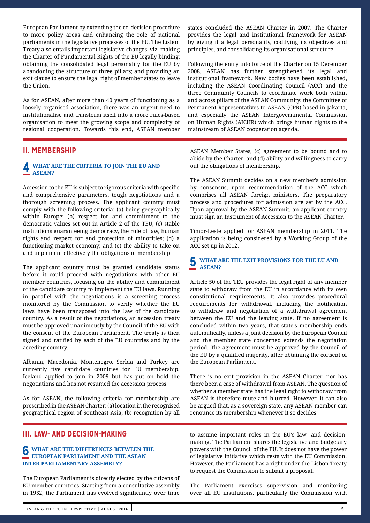European Parliament by extending the co-decision procedure to more policy areas and enhancing the role of national parliaments in the legislative processes of the EU. The Lisbon Treaty also entails important legislative changes, viz. making the Charter of Fundamental Rights of the EU legally binding; obtaining the consolidated legal personality for the EU by abandoning the structure of three pillars; and providing an exit clause to ensure the legal right of member states to leave the Union.

As for ASEAN, after more than 40 years of functioning as a loosely organised association, there was an urgent need to institutionalise and transform itself into a more rules-based organisation to meet the growing scope and complexity of regional cooperation. Towards this end, ASEAN member

# **II. MEMBERSHIP**

## **4 WHAT ARE THE CRITERIA TO JOIN THE EU AND ASEAN?**

Accession to the EU is subject to rigorous criteria with specific and comprehensive parameters, tough negotiations and a thorough screening process. The applicant country must comply with the following criteria: (a) being geographically within Europe; (b) respect for and commitment to the democratic values set out in Article 2 of the TEU; (c) stable institutions guaranteeing democracy, the rule of law, human rights and respect for and protection of minorities; (d) a functioning market economy; and (e) the ability to take on and implement effectively the obligations of membership.

The applicant country must be granted candidate status before it could proceed with negotiations with other EU member countries, focusing on the ability and commitment of the candidate country to implement the EU laws. Running in parallel with the negotiations is a screening process monitored by the Commission to verify whether the EU laws have been transposed into the law of the candidate country. As a result of the negotiations, an accession treaty must be approved unanimously by the Council of the EU with the consent of the European Parliament. The treaty is then signed and ratified by each of the EU countries and by the acceding country.

Albania, Macedonia, Montenegro, Serbia and Turkey are currently five candidate countries for EU membership. Iceland applied to join in 2009 but has put on hold the negotiations and has not resumed the accession process.

As for ASEAN, the following criteria for membership are prescribed in the ASEAN Charter: (a) location in the recognised geographical region of Southeast Asia; (b) recognition by all

# **III. LAW- AND DECISION-MAKING**

# **6 WHAT ARE THE DIFFERENCES BETWEEN THE EUROPEAN PARLIAMENT AND THE ASEAN INTER-PARLIAMENTARY ASSEMBLY?**

The European Parliament is directly elected by the citizens of EU member countries. Starting from a consultative assembly in 1952, the Parliament has evolved significantly over time

states concluded the ASEAN Charter in 2007. The Charter provides the legal and institutional framework for ASEAN by giving it a legal personality, codifying its objectives and principles, and consolidating its organisational structure.

Following the entry into force of the Charter on 15 December 2008, ASEAN has further strengthened its legal and institutional framework. New bodies have been established, including the ASEAN Coordinating Council (ACC) and the three Community Councils to coordinate work both within and across pillars of the ASEAN Community; the Committee of Permanent Representatives to ASEAN (CPR) based in Jakarta, and especially the ASEAN Intergovernmental Commission on Human Rights (AICHR) which brings human rights to the mainstream of ASEAN cooperation agenda.

ASEAN Member States; (c) agreement to be bound and to abide by the Charter; and (d) ability and willingness to carry out the obligations of membership.

The ASEAN Summit decides on a new member's admission by consensus, upon recommendation of the ACC which comprises all ASEAN foreign ministers. The preparatory process and procedures for admission are set by the ACC. Upon approval by the ASEAN Summit, an applicant country must sign an Instrument of Accession to the ASEAN Charter.

Timor-Leste applied for ASEAN membership in 2011. The application is being considered by a Working Group of the ACC set up in 2012.

# **5 WHAT ARE THE EXIT PROVISIONS FOR THE EU AND ASEAN?**

Article 50 of the TEU provides the legal right of any member state to withdraw from the EU in accordance with its own constitutional requirements. It also provides procedural requirements for withdrawal, including the notification to withdraw and negotiation of a withdrawal agreement between the EU and the leaving state. If no agreement is concluded within two years, that state's membership ends automatically, unless a joint decision by the European Council and the member state concerned extends the negotiation period. The agreement must be approved by the Council of the EU by a qualified majority, after obtaining the consent of the European Parliament.

There is no exit provision in the ASEAN Charter, nor has there been a case of withdrawal from ASEAN. The question of whether a member state has the legal right to withdraw from ASEAN is therefore mute and blurred. However, it can also be argued that, as a sovereign state, any ASEAN member can renounce its membership whenever it so decides.

to assume important roles in the EU's law- and decisionmaking. The Parliament shares the legislative and budgetary powers with the Council of the EU. It does not have the power of legislative initiative which rests with the EU Commission. However, the Parliament has a right under the Lisbon Treaty to request the Commission to submit a proposal.

The Parliament exercises supervision and monitoring over all EU institutions, particularly the Commission with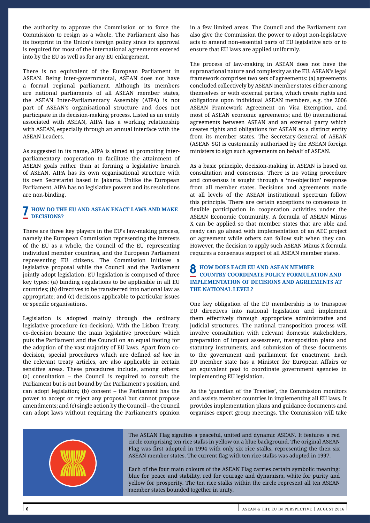the authority to approve the Commission or to force the Commission to resign as a whole. The Parliament also has its footprint in the Union's foreign policy since its approval is required for most of the international agreements entered into by the EU as well as for any EU enlargement.

There is no equivalent of the European Parliament in ASEAN. Being inter-governmental, ASEAN does not have a formal regional parliament. Although its members are national parliaments of all ASEAN member states, the ASEAN Inter-Parliamentary Assembly (AIPA) is not part of ASEAN's organisational structure and does not participate in its decision-making process. Listed as an entity associated with ASEAN, AIPA has a working relationship with ASEAN, especially through an annual interface with the ASEAN Leaders.

As suggested in its name, AIPA is aimed at promoting interparliamentary cooperation to facilitate the attainment of ASEAN goals rather than at forming a legislative branch of ASEAN. AIPA has its own organisational structure with its own Secretariat based in Jakarta. Unlike the European Parliament, AIPA has no legislative powers and its resolutions are non-binding.

## **7 HOW DO THE EU AND ASEAN ENACT LAWS AND MAKE DECISIONS?**

There are three key players in the EU's law-making process, namely the European Commission representing the interests of the EU as a whole, the Council of the EU representing individual member countries, and the European Parliament representing EU citizens. The Commission initiates a legislative proposal while the Council and the Parliament jointly adopt legislation. EU legislation is composed of three key types: (a) binding regulations to be applicable in all EU countries; (b) directives to be transferred into national law as appropriate; and (c) decisions applicable to particular issues or specific organisations.

Legislation is adopted mainly through the ordinary legislative procedure (co-decision). With the Lisbon Treaty, co-decision became the main legislative procedure which puts the Parliament and the Council on an equal footing for the adoption of the vast majority of EU laws. Apart from codecision, special procedures which are defined *ad hoc* in the relevant treaty articles, are also applicable in certain sensitive areas. These procedures include, among others: (a) consultation – the Council is required to consult the Parliament but is not bound by the Parliament's position, and can adopt legislation; (b) consent – the Parliament has the power to accept or reject any proposal but cannot propose amendments; and (c) single action by the Council – the Council can adopt laws without requiring the Parliament's opinion in a few limited areas. The Council and the Parliament can also give the Commission the power to adopt non-legislative acts to amend non-essential parts of EU legislative acts or to ensure that EU laws are applied uniformly.

The process of law-making in ASEAN does not have the supranational nature and complexity as the EU. ASEAN's legal framework comprises two sets of agreements: (a) agreements concluded collectively by ASEAN member states either among themselves or with external parties, which create rights and obligations upon individual ASEAN members, e.g. the 2006 ASEAN Framework Agreement on Visa Exemption, and most of ASEAN economic agreements; and (b) international agreements between ASEAN and an external party which creates rights and obligations for ASEAN as a distinct entity from its member states. The Secretary-General of ASEAN (ASEAN SG) is customarily authorised by the ASEAN foreign ministers to sign such agreements on behalf of ASEAN.

As a basic principle, decision-making in ASEAN is based on consultation and consensus. There is no voting procedure and consensus is sought through a 'no-objection' response from all member states. Decisions and agreements made at all levels of the ASEAN institutional spectrum follow this principle. There are certain exceptions to consensus in flexible participation in cooperation activities under the ASEAN Economic Community. A formula of ASEAN Minus X can be applied so that member states that are able and ready can go ahead with implementation of an AEC project or agreement while others can follow suit when they can. However, the decision to apply such ASEAN Minus X formula requires a consensus support of all ASEAN member states.

## **8 HOW DOES EACH EU AND ASEAN MEMBER COUNTRY COORDINATE POLICY FORMULATION AND IMPLEMENTATION OF DECISIONS AND AGREEMENTS AT THE NATIONAL LEVEL?**

One key obligation of the EU membership is to transpose EU directives into national legislation and implement them effectively through appropriate administrative and judicial structures. The national transposition process will involve consultation with relevant domestic stakeholders, preparation of impact assessment, transposition plans and statutory instruments, and submission of these documents to the government and parliament for enactment. Each EU member state has a Minister for European Affairs or an equivalent post to coordinate government agencies in implementing EU legislation.

As the 'guardian of the Treaties', the Commission monitors and assists member countries in implementing all EU laws. It provides implementation plans and guidance documents and organises expert group meetings. The Commission will take



The ASEAN Flag signifies a peaceful, united and dynamic ASEAN. It features a red circle comprising ten rice stalks in yellow on a blue background. The original ASEAN Flag was first adopted in 1994 with only six rice stalks, representing the then six ASEAN member states. The current flag with ten rice stalks was adopted in 1997.

Each of the four main colours of the ASEAN Flag carries certain symbolic meaning: blue for peace and stability, red for courage and dynamism, white for purity and yellow for prosperity. The ten rice stalks within the circle represent all ten ASEAN member states bounded together in unity.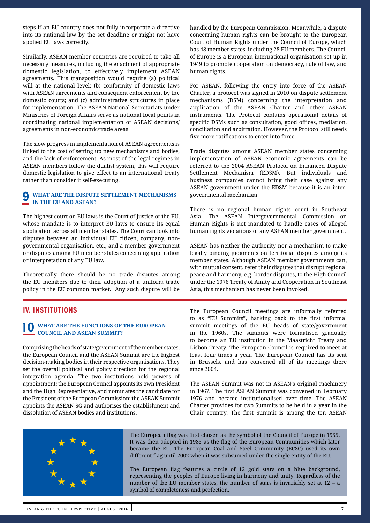steps if an EU country does not fully incorporate a directive into its national law by the set deadline or might not have applied EU laws correctly.

Similarly, ASEAN member countries are required to take all necessary measures, including the enactment of appropriate domestic legislation, to effectively implement ASEAN agreements. This transposition would require (a) political will at the national level; (b) conformity of domestic laws with ASEAN agreements and consequent enforcement by the domestic courts; and (c) administrative structures in place for implementation. The ASEAN National Secretariats under Ministries of Foreign Affairs serve as national focal points in coordinating national implementation of ASEAN decisions/ agreements in non-economic/trade areas.

The slow progress in implementation of ASEAN agreements is linked to the cost of setting up new mechanisms and bodies, and the lack of enforcement. As most of the legal regimes in ASEAN members follow the dualist system, this will require domestic legislation to give effect to an international treaty rather than consider it self-executing.

## **9 WHAT ARE THE DISPUTE SETTLEMENT MECHANISMS IN THE EU AND ASEAN?**

The highest court on EU laws is the Court of Justice of the EU, whose mandate is to interpret EU laws to ensure its equal application across all member states. The Court can look into disputes between an individual EU citizen, company, nongovernmental organisation, etc., and a member government or disputes among EU member states concerning application or interpretation of any EU law.

Theoretically there should be no trade disputes among the EU members due to their adoption of a uniform trade policy in the EU common market. Any such dispute will be

handled by the European Commission. Meanwhile, a dispute concerning human rights can be brought to the European Court of Human Rights under the Council of Europe, which has 48 member states, including 28 EU members. The Council of Europe is a European international organisation set up in 1949 to promote cooperation on democracy, rule of law, and human rights.

For ASEAN, following the entry into force of the ASEAN Charter, a protocol was signed in 2010 on dispute settlement mechanisms (DSM) concerning the interpretation and application of the ASEAN Charter and other ASEAN instruments. The Protocol contains operational details of specific DSMs such as consultation, good offices, mediation, conciliation and arbitration. However, the Protocol still needs five more ratifications to enter into force.

Trade disputes among ASEAN member states concerning implementation of ASEAN economic agreements can be referred to the 2004 ASEAN Protocol on Enhanced Dispute Settlement Mechanism (EDSM). But individuals and business companies cannot bring their case against any ASEAN government under the EDSM because it is an intergovernmental mechanism.

There is no regional human rights court in Southeast Asia. The ASEAN Intergovernmental Commission on Human Rights is not mandated to handle cases of alleged human rights violations of any ASEAN member government.

ASEAN has neither the authority nor a mechanism to make legally binding judgments on territorial disputes among its member states. Although ASEAN member governments can, with mutual consent, refer their disputes that disrupt regional peace and harmony, e.g. border disputes, to the High Council under the 1976 Treaty of Amity and Cooperation in Southeast Asia, this mechanism has never been invoked.

# **IV. INSTITUTIONS**

# **10 WHAT ARE THE FUNCTIONS OF THE EUROPEAN COUNCIL AND ASEAN SUMMIT?**

Comprising the heads of state/government of the member states, the European Council and the ASEAN Summit are the highest decision-making bodies in their respective organisations. They set the overall political and policy direction for the regional integration agenda. The two institutions hold powers of appointment: the European Council appoints its own President and the High Representative, and nominates the candidate for the President of the European Commission; the ASEAN Summit appoints the ASEAN SG and authorises the establishment and dissolution of ASEAN bodies and institutions.

The European Council meetings are informally referred to as "EU Summits", harking back to the first informal summit meetings of the EU heads of state/government in the 1960s. The summits were formalised gradually to become an EU institution in the Maastricht Treaty and Lisbon Treaty. The European Council is required to meet at least four times a year. The European Council has its seat in Brussels, and has convened all of its meetings there since 2004.

The ASEAN Summit was not in ASEAN's original machinery in 1967. The first ASEAN Summit was convened in February 1976 and became institutionalised over time. The ASEAN Charter provides for two Summits to be held in a year in the Chair country. The first Summit is among the ten ASEAN



The European flag was first chosen as the symbol of the Council of Europe in 1955. It was then adopted in 1985 as the flag of the European Communities which later became the EU. The European Coal and Steel Community (ECSC) used its own different flag until 2002 when it was subsumed under the single entity of the EU.

The European flag features a circle of 12 gold stars on a blue background, representing the peoples of Europe living in harmony and unity. Regardless of the number of the EU member states, the number of stars is invariably set at 12 – a symbol of completeness and perfection.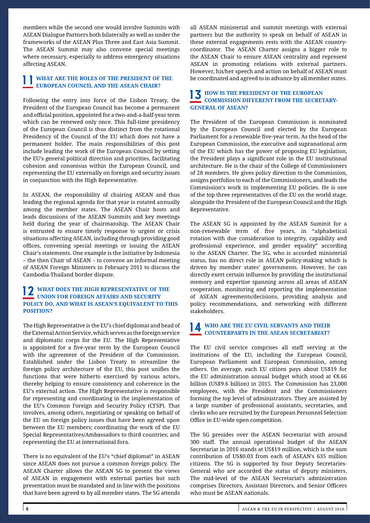members while the second one would involve Summits with ASEAN Dialogue Partners both bilaterally as well as under the frameworks of the ASEAN Plus Three and East Asia Summit. The ASEAN Summit may also convene special meetings where necessary, especially to address emergency situations affecting ASEAN.

# **1 1 WHAT ARE THE ROLES OF THE PRESIDENT OF THE EUROPEAN COUNCIL AND THE ASEAN CHAIR?**

Following the entry into force of the Lisbon Treaty, the President of the European Council has become a permanent and official position, appointed for a two-and-a-half-year term which can be renewed only once. This full-time presidency of the European Council is thus distinct from the rotational Presidency of the Council of the EU which does not have a permanent holder. The main responsibilities of this post include leading the work of the European Council by setting the EU's general political direction and priorities, facilitating cohesion and consensus within the European Council, and representing the EU externally on foreign and security issues in conjunction with the High Representative.

In ASEAN, the responsibility of chairing ASEAN and thus leading the regional agenda for that year is rotated annually among the member states. The ASEAN Chair hosts and leads discussions of the ASEAN Summits and key meetings held during the year of chairmanship. The ASEAN Chair is entrusted to ensure timely response to urgent or crisis situations affecting ASEAN, including through providing good offices, convening special meetings or issuing the ASEAN Chair's statements. One example is the initiative by Indonesia – the then Chair of ASEAN – to convene an informal meeting of ASEAN Foreign Ministers in February 2011 to discuss the Cambodia-Thailand border dispute.

## **12 WHAT DOES THE HIGH REPRESENTATIVE OF THE UNION FOR FOREIGN AFFAIRS AND SECURITY POLICY DO, AND WHAT IS ASEAN'S EQUIVALENT TO THIS POSITION?**

The High Representative is the EU's chief diplomat and head of the External Action Service, which serves as the foreign service and diplomatic corps for the EU. The High Representative is appointed for a five-year term by the European Council with the agreement of the President of the Commission. Established under the Lisbon Treaty to streamline the foreign policy architecture of the EU, this post unifies the functions that were hitherto exercised by various actors, thereby helping to ensure consistency and coherence in the EU's external action. The High Representative is responsible for representing and coordinating in the implementation of the EU's Common Foreign and Security Policy (CFSP). That involves, among others, negotiating or speaking on behalf of the EU on foreign policy issues that have been agreed upon between the EU members; coordinating the work of the EU Special Representatives/Ambassadors to third countries; and representing the EU at international fora.

There is no equivalent of the EU's "chief diplomat" in ASEAN since ASEAN does not pursue a common foreign policy. The ASEAN Charter allows the ASEAN SG to present the views of ASEAN in engagement with external parties but such presentation must be mandated and in line with the positions that have been agreed to by all member states. The SG attends all ASEAN ministerial and summit meetings with external partners but the authority to speak on behalf of ASEAN in these external engagements rests with the ASEAN countrycoordinator. The ASEAN Charter assigns a bigger role to the ASEAN Chair to ensure ASEAN centrality and represent ASEAN in promoting relations with external partners. However, his/her speech and action on behalf of ASEAN must be coordinated and agreed to in advance by all member states.

# **13 HOW IS THE PRESIDENT OF THE EUROPEAN COMMISSION DIFFERENT FROM THE SECRETARY-GENERAL OF ASEAN?**

The President of the European Commission is nominated by the European Council and elected by the European Parliament for a renewable five-year term. As the head of the European Commission, the executive and supranational arm of the EU which has the power of proposing EU legislation, the President plays a significant role in the EU institutional architecture. He is the chair of the College of Commissioners of 28 members. He gives policy direction to the Commission, assigns portfolios to each of the Commissioners, and leads the Commission's work in implementing EU policies. He is one of the top three representatives of the EU on the world stage, alongside the President of the European Council and the High Representative.

The ASEAN SG is appointed by the ASEAN Summit for a non-renewable term of five years, in "alphabetical rotation with due consideration to integrity, capability and professional experience, and gender equality" according to the ASEAN Charter. The SG, who is accorded ministerial status, has no direct role in ASEAN policy-making which is driven by member states' governments. However, he can directly exert certain influence by providing the institutional memory and expertise spanning across all areas of ASEAN cooperation, monitoring and reporting the implementation of ASEAN agreements/decisions, providing analysis and policy recommendations, and networking with different stakeholders.

# **14 WHO ARE THE EU CIVIL SERVANTS AND THEIR COUNTERPARTS IN THE ASEAN SECRETARIAT?**

The EU civil service comprises all staff serving at the institutions of the EU, including the European Council, European Parliament and European Commission, among others. On average, each EU citizen pays about US\$19 for the EU administration annual budget which stood at €8.66 billion (US\$9.6 billion) in 2015. The Commission has 23,000 employees, with the President and the Commissioners forming the top level of administrators. They are assisted by a large number of professional assistants, secretaries, and clerks who are recruited by the European Personnel Selection Office in EU-wide open competition.

The SG presides over the ASEAN Secretariat with around 300 staff. The annual operational budget of the ASEAN Secretariat in 2016 stands at US\$19 million, which is the sum contribution of US\$0.03 from each of ASEAN's 635 million citizens. The SG is supported by four Deputy Secretaries-General who are accorded the status of deputy ministers. The mid-level of the ASEAN Secretariat's administration comprises Directors, Assistant Directors, and Senior Officers who must be ASEAN nationals.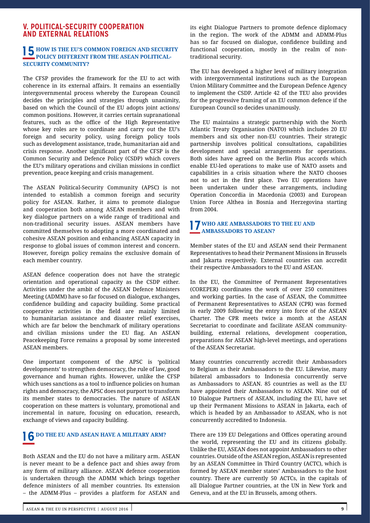# **V. POLITICAL-SECURITY COOPERATION AND EXTERNAL RELATION**

# **15 HOW IS THE EU'S COMMON FOREIGN AND SECURITY POLICY DIFFERENT FROM THE ASEAN POLITICAL-SECURITY COMMUNITY?**

The CFSP provides the framework for the EU to act with coherence in its external affairs. It remains an essentially intergovernmental process whereby the European Council decides the principles and strategies through unanimity, based on which the Council of the EU adopts joint actions/ common positions. However, it carries certain supranational features, such as the office of the High Representative whose key roles are to coordinate and carry out the EU's foreign and security policy, using foreign policy tools such as development assistance, trade, humanitarian aid and crisis response. Another significant part of the CFSP is the Common Security and Defence Policy (CSDP) which covers the EU's military operations and civilian missions in conflict prevention, peace keeping and crisis management.

The ASEAN Political-Security Community (APSC) is not intended to establish a common foreign and security policy for ASEAN. Rather, it aims to promote dialogue and cooperation both among ASEAN members and with key dialogue partners on a wide range of traditional and non-traditional security issues. ASEAN members have committed themselves to adopting a more coordinated and cohesive ASEAN position and enhancing ASEAN capacity in response to global issues of common interest and concern. However, foreign policy remains the exclusive domain of each member country.

ASEAN defence cooperation does not have the strategic orientation and operational capacity as the CSDP either. Activities under the ambit of the ASEAN Defence Ministers Meeting (ADMM) have so far focused on dialogue, exchanges, confidence building and capacity building. Some practical cooperative activities in the field are mainly limited to humanitarian assistance and disaster relief exercises, which are far below the benchmark of military operations and civilian missions under the EU flag. An ASEAN Peacekeeping Force remains a proposal by some interested ASEAN members.

One important component of the APSC is 'political developments' to strengthen democracy, the rule of law, good governance and human rights. However, unlike the CFSP which uses sanctions as a tool to influence policies on human rights and democracy, the APSC does not purport to transform its member states to democracies. The nature of ASEAN cooperation on these matters is voluntary, promotional and incremental in nature, focusing on education, research, exchange of views and capacity building.

# **16 DO THE EU AND ASEAN HAVE A MILITARY ARM?**

Both ASEAN and the EU do not have a military arm. ASEAN is never meant to be a defence pact and shies away from any form of military alliance. ASEAN defence cooperation is undertaken through the ADMM which brings together defence ministers of all member countries. Its extension – the ADMM-Plus – provides a platform for ASEAN and

its eight Dialogue Partners to promote defence diplomacy in the region. The work of the ADMM and ADMM-Plus has so far focused on dialogue, confidence building and functional cooperation, mostly in the realm of nontraditional security.

The EU has developed a higher level of military integration with intergovernmental institutions such as the European Union Military Committee and the European Defence Agency to implement the CSDP. Article 42 of the TEU also provides for the progressive framing of an EU common defence if the European Council so decides unanimously.

The EU maintains a strategic partnership with the North Atlantic Treaty Organisation (NATO) which includes 20 EU members and six other non-EU countries. Their strategic partnership involves political consultations, capabilities development and special arrangements for operations. Both sides have agreed on the Berlin Plus accords which enable EU-led operations to make use of NATO assets and capabilities in a crisis situation where the NATO chooses not to act in the first place. Two EU operations have been undertaken under these arrangements, including Operation Concordia in Macedonia (2003) and European Union Force Althea in Bosnia and Herzegovina starting from 2004.

# **17 WHO ARE AMBASSADORS TO THE EU AND AMBASSADORS TO ASEAN?**

Member states of the EU and ASEAN send their Permanent Representatives to head their Permanent Missions in Brussels and Jakarta respectively. External countries can accredit their respective Ambassadors to the EU and ASEAN.

In the EU, the Committee of Permanent Representatives (COREPER) coordinates the work of over 250 committees and working parties. In the case of ASEAN, the Committee of Permanent Representatives to ASEAN (CPR) was formed in early 2009 following the entry into force of the ASEAN Charter. The CPR meets twice a month at the ASEAN Secretariat to coordinate and facilitate ASEAN communitybuilding, external relations, development cooperation, preparations for ASEAN high-level meetings, and operations of the ASEAN Secretariat.

Many countries concurrently accredit their Ambassadors to Belgium as their Ambassadors to the EU. Likewise, many bilateral ambassadors to Indonesia concurrently serve as Ambassadors to ASEAN. 85 countries as well as the EU have appointed their Ambassadors to ASEAN. Nine out of 10 Dialogue Partners of ASEAN, including the EU, have set up their Permanent Missions to ASEAN in Jakarta, each of which is headed by an Ambassador to ASEAN, who is not concurrently accredited to Indonesia.

There are 139 EU Delegations and Offices operating around the world, representing the EU and its citizens globally. Unlike the EU, ASEAN does not appoint Ambassadors to other countries. Outside of the ASEAN region, ASEAN is represented by an ASEAN Committee in Third Country (ACTC), which is formed by ASEAN member states' Ambassadors to the host country. There are currently 50 ACTCs, in the capitals of all Dialogue Partner countries, at the UN in New York and Geneva, and at the EU in Brussels, among others.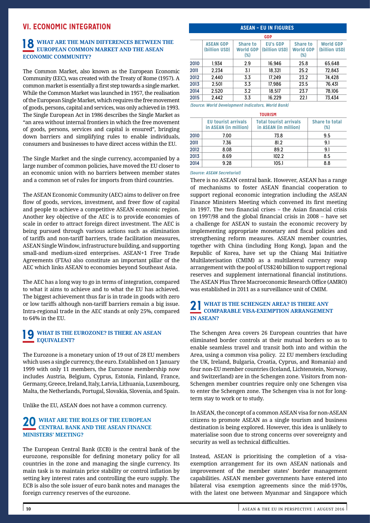# **VI. ECONOMIC INTEGRATION**

# **18 WHAT ARE THE MAIN DIFFERENCES BETWEEN THE EUROPEAN COMMON MARKET AND THE ASEAN ECONOMIC COMMUNITY?**

The Common Market, also known as the European Economic Community (EEC), was created with the Treaty of Rome (1957). A common market is essentially a first step towards a single market. While the Common Market was launched in 1957, the realisation of the European Single Market, which requires the free movement of goods, persons, capital and services, was only achieved in 1993. The Single European Act in 1986 describes the Single Market as "an area without internal frontiers in which the free movement of goods, persons, services and capital is ensured", bringing down barriers and simplifying rules to enable individuals, consumers and businesses to have direct access within the EU.

The Single Market and the single currency, accompanied by a large number of common policies, have moved the EU closer to an economic union with no barriers between member states and a common set of rules for imports from third countries.

The ASEAN Economic Community (AEC) aims to deliver on free flow of goods, services, investment, and freer flow of capital and people to achieve a competitive ASEAN economic region. Another key objective of the AEC is to provide economies of scale in order to attract foreign direct investment. The AEC is being pursued through various actions such as elimination of tariffs and non-tariff barriers, trade facilitation measures, ASEAN Single Window, infrastructure building, and supporting small-and medium-sized enterprises. ASEAN+1 Free Trade Agreements (FTAs) also constitute an important pillar of the AEC which links ASEAN to economies beyond Southeast Asia.

The AEC has a long way to go in terms of integration, compared to what it aims to achieve and to what the EU has achieved. The biggest achievement thus far is in trade in goods with zero or low tariffs although non-tariff barriers remain a big issue. Intra-regional trade in the AEC stands at only 25%, compared to 64% in the EU.

# **19 WHAT IS THE EUROZONE? IS THERE AN ASEAN EQUIVALENT?**

The Eurozone is a monetary union of 19 out of 28 EU members which uses a single currency, the euro. Established on 1 January 1999 with only 11 members, the Eurozone membership now includes Austria, Belgium, Cyprus, Estonia, Finland, France, Germany, Greece, Ireland, Italy, Latvia, Lithuania, Luxembourg, Malta, the Netherlands, Portugal, Slovakia, Slovenia, and Spain.

Unlike the EU, ASEAN does not have a common currency.

# **20 WHAT ARE THE ROLES OF THE EUROPEAN CENTRAL BANK AND THE ASEAN FINANCE MINISTERS' MEETING?**

The European Central Bank (ECB) is the central bank of the eurozone, responsible for defining monetary policy for all countries in the zone and managing the single currency. Its main task is to maintain price stability or control inflation by setting key interest rates and controlling the euro supply. The ECB is also the sole issuer of euro bank notes and manages the foreign currency reserves of the eurozone.

# **ASEAN – EU IN FIGURES**

| <b>GDP</b> |                                   |                                     |                                  |                                               |                                   |  |  |
|------------|-----------------------------------|-------------------------------------|----------------------------------|-----------------------------------------------|-----------------------------------|--|--|
|            | <b>ASEAN GDP</b><br>(billion USD) | Share to<br><b>World GDP</b><br>(%) | <b>EU's GDP</b><br>(billion USD) | <b>Share to</b><br><b>World GDP</b><br>$(\%)$ | <b>World GDP</b><br>(billion USD) |  |  |
| 2010       | 1.934                             | 2.9                                 | 16.946                           | 25.8                                          | 65.648                            |  |  |
| 2011       | 2.234                             | 3.1                                 | 18.321                           | 25.2                                          | 72.843                            |  |  |
| 2012       | 2.440                             | 3.3                                 | 17.249                           | 23.2                                          | 74.428                            |  |  |
| 2013       | 2.501                             | 3.3                                 | 17.986                           | 23.5                                          | 76.431                            |  |  |
| 2014       | 2.520                             | 3.2                                 | 18.517                           | 23.7                                          | 78.106                            |  |  |
| 2015       | 2.442                             | 3.3                                 | 16.229                           | 22.1                                          | 73.434                            |  |  |

*(Source: World Development Indicators, World Bank)*

| <b>TOURISM</b> |                                                     |                                                        |                              |  |  |  |
|----------------|-----------------------------------------------------|--------------------------------------------------------|------------------------------|--|--|--|
|                | <b>EU tourist arrivals</b><br>in ASEAN (in million) | <b>Total tourist arrivals</b><br>in ASEAN (in million) | <b>Share to total</b><br>(%) |  |  |  |
| 2010           | 7.00                                                | 73.8                                                   | 9.5                          |  |  |  |
| 2011           | 7.36                                                | 81.2                                                   | 9.1                          |  |  |  |
| 2012           | 8.08                                                | 89.2                                                   | 9.1                          |  |  |  |
| 2013           | 8.69                                                | 102.2                                                  | 8.5                          |  |  |  |
| 2014           | 9.28                                                | 105.1                                                  | 8.8                          |  |  |  |

#### *(Source: ASEAN Secretariat)*

There is no ASEAN central bank. However, ASEAN has a range of mechanisms to foster ASEAN financial cooperation to support regional economic integration including the ASEAN Finance Ministers Meeting which convened its first meeting in 1997. The two financial crises – the Asian financial crisis on 1997/98 and the global financial crisis in 2008 – have set a challenge for ASEAN to sustain the economic recovery by implementing appropriate monetary and fiscal policies and strengthening reform measures. ASEAN member countries, together with China (including Hong Kong), Japan and the Republic of Korea, have set up the Chiang Mai Initiative Multilaterisation (CMIM) as a multilateral currency swap arrangement with the pool of US\$240 billion to support regional reserves and supplement international financial institutions. The ASEAN Plus Three Macroeconomic Research Office (AMRO) was established in 2011 as a surveillance unit of CMIM.

# **21 WHAT IS THE SCHENGEN AREA? IS THERE ANY COMPARABLE VISA-EXEMPTION ARRANGEMENT IN ASEAN?**

The Schengen Area covers 26 European countries that have eliminated border controls at their mutual borders so as to enable seamless travel and transit both into and within the Area, using a common visa policy. 22 EU members (excluding the UK, Ireland, Bulgaria, Croatia, Cyprus, and Romania) and four non-EU member countries (Iceland, Lichtenstein, Norway, and Switzerland) are in the Schengen zone. Visitors from non-Schengen member countries require only one Schengen visa to enter the Schengen zone. The Schengen visa is not for longterm stay to work or to study.

In ASEAN, the concept of a common ASEAN visa for non-ASEAN citizens to promote ASEAN as a single tourism and business destination is being explored. However, this idea is unlikely to materialise soon due to strong concerns over sovereignty and security as well as technical difficulties.

Instead, ASEAN is prioritising the completion of a visaexemption arrangement for its own ASEAN nationals and improvement of the member states' border management capabilities. ASEAN member governments have entered into bilateral visa exemption agreements since the mid-1970s, with the latest one between Myanmar and Singapore which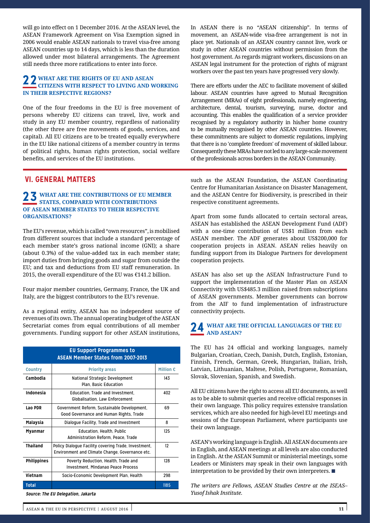will go into effect on 1 December 2016. At the ASEAN level, the ASEAN Framework Agreement on Visa Exemption signed in 2006 would enable ASEAN nationals to travel visa-free among ASEAN countries up to 14 days, which is less than the duration allowed under most bilateral arrangements. The Agreement still needs three more ratifications to enter into force.

## **22 WHAT ARE THE RIGHTS OF EU AND ASEAN CITIZENS WITH RESPECT TO LIVING AND WORKING IN THEIR RESPECTIVE REGIONS?**

One of the four freedoms in the EU is free movement of persons whereby EU citizens can travel, live, work and study in any EU member country, regardless of nationality (the other three are free movements of goods, services, and capital). All EU citizens are to be treated equally everywhere in the EU like national citizens of a member country in terms of political rights, human rights protection, social welfare benefits, and services of the EU institutions.

# **VI. GENERAL MATTERS**

# **23 WHAT ARE THE CONTRIBUTIONS OF EU MEMBER STATES, COMPARED WITH CONTRIBUTIONS OF ASEAN MEMBER STATES TO THEIR RESPECTIVE ORGANISATIONS?**

The EU's revenue, which is called "own resources", is mobilised from different sources that include a standard percentage of each member state's gross national income (GNI); a share (about 0.3%) of the value-added tax in each member state; import duties from bringing goods and sugar from outside the EU; and tax and deductions from EU staff remuneration. In 2015, the overall expenditure of the EU was  $£141.2$  billion.

Four major member countries, Germany, France, the UK and Italy, are the biggest contributors to the EU's revenue.

As a regional entity, ASEAN has no independent source of revenues of its own. The annual operating budget of the ASEAN Secretariat comes from equal contributions of all member governments. Funding support for other ASEAN institutions,

|                    | <b>EU Support Programmes to</b><br><b>ASEAN Member States from 2007-2013</b>                            |                  |
|--------------------|---------------------------------------------------------------------------------------------------------|------------------|
| <b>Country</b>     | <b>Priority areas</b>                                                                                   | <b>Million €</b> |
| Cambodia           | National Strategic Development<br>Plan. Basic Education                                                 | 143              |
| Indonesia          | Education, Trade and Investment,<br><b>Globalisation, Law Enforcement</b>                               | 402              |
| Lao PDR            | Government Reform, Sustainable Development,<br>Good Governance and Human Rights, Trade                  | 69               |
| Malaysia           | Dialogue Facility, Trade and Investment                                                                 | 8                |
| Myanmar            | <b>Education, Health, Public</b><br>Administration Reform, Peace, Trade                                 | 125              |
| <b>Thailand</b>    | Policy Dialogue Facility covering Trade, Investment,<br>Environment and Climate Change, Governance etc. | 12               |
| <b>Philippines</b> | Poverty Reduction, Health, Trade and<br><b>Investment. Mindanao Peace Process</b>                       | 128              |
| Vietnam            | Socio-Economic Development Plan, Health                                                                 | 298              |
| <b>Total</b>       |                                                                                                         | 1185             |

**Source: The EU Delegation, Jakarta**

In ASEAN there is no "ASEAN citizenship". In terms of movement, an ASEAN-wide visa-free arrangement is not in place yet. Nationals of an ASEAN country cannot live, work or study in other ASEAN countries without permission from the host government. As regards migrant workers, discussions on an ASEAN legal instrument for the protection of rights of migrant workers over the past ten years have progressed very slowly.

There are efforts under the AEC to facilitate movement of skilled labour. ASEAN countries have agreed to Mutual Recognition Arrangement (MRAs) of eight professionals, namely engineering, architecture, dental, tourism, surveying, nurse, doctor and accounting. This enables the qualification of a service provider recognised by a regulatory authority in his/her home country to be mutually recognised by other ASEAN countries. However, these commitments are subject to domestic regulations, implying that there is no 'complete freedom' of movement of skilled labour. Consequently these MRAs have not led to any large-scale movement of the professionals across borders in the ASEAN Community.

such as the ASEAN Foundation, the ASEAN Coordinating Centre for Humanitarian Assistance on Disaster Management, and the ASEAN Centre for Biodiversity, is prescribed in their respective constituent agreements.

Apart from some funds allocated to certain sectoral areas, ASEAN has established the ASEAN Development Fund (ADF) with a one-time contribution of US\$1 million from each ASEAN member. The ADF generates about US\$200,000 for cooperation projects in ASEAN. ASEAN relies heavily on funding support from its Dialogue Partners for development cooperation projects.

ASEAN has also set up the ASEAN Infrastructure Fund to support the implementation of the Master Plan on ASEAN Connectivity with US\$485.3 million raised from subscriptions of ASEAN governments. Member governments can borrow from the AIF to fund implementation of infrastructure connectivity projects.

## **24 WHAT ARE THE OFFICIAL LANGUAGES OF THE EU AND ASEAN?**

The EU has 24 official and working languages, namely Bulgarian, Croatian, Czech, Danish, Dutch, English, Estonian, Finnish, French, German, Greek, Hungarian, Italian, Irish, Latvian, Lithuanian, Maltese, Polish, Portuguese, Romanian, Slovak, Slovenian, Spanish, and Swedish.

All EU citizens have the right to access all EU documents, as well as to be able to submit queries and receive official responses in their own language. This policy requires extensive translation services, which are also needed for high-level EU meetings and sessions of the European Parliament, where participants use their own language.

ASEAN's working language is English. All ASEAN documents are in English, and ASEAN meetings at all levels are also conducted in English. At the ASEAN Summit or ministerial meetings, some Leaders or Ministers may speak in their own languages with interpretation to be provided by their own interpreters. ■

*The writers are Fellows, ASEAN Studies Centre at the ISEAS– Yusof Ishak Institute.*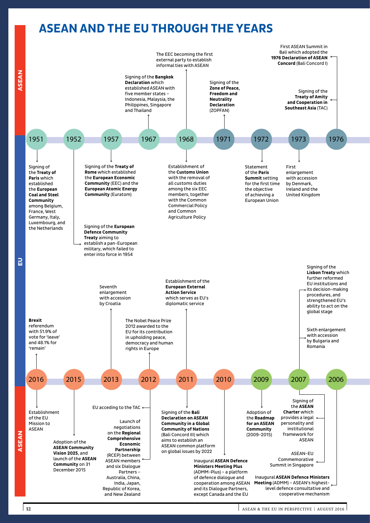# **ASEAN AND THE EU THROUGH THE YEARS**

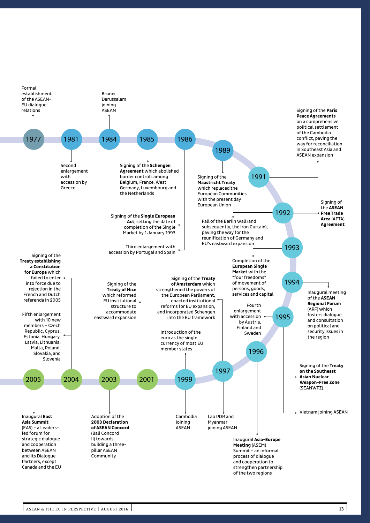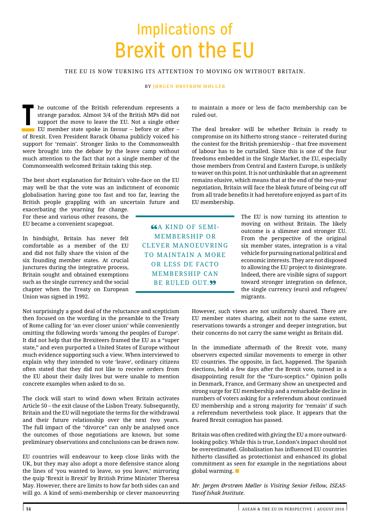# Implications of Brexit on the EU

## THE EU IS NOW TURNING ITS ATTENTION TO MOVING ON WITHOUT BRITAIN.

#### BY **JØRGEN ØRSTRØM MØLLER**

**T** he outcome of the British referendum represents a strange paradox. Almost 3/4 of the British MPs did not support the move to leave the EU. Not a single other EU member state spoke in favour – before or after – of Brexit. Even President Barack Obama publicly voiced his support for 'remain'. Stronger links to the Commonwealth were brought into the debate by the leave camp without much attention to the fact that not a single member of the Commonwealth welcomed Britain taking this step.

The best short explanation for Britain's volte-face on the EU may well be that the vote was an indictment of economic globalisation having gone too fast and too far, leaving the British people grappling with an uncertain future and

exacerbating the yearning for change. For these and various other reasons, the EU became a convenient scapegoat.

In hindsight, Britain has never felt comfortable as a member of the EU and did not fully share the vision of the six founding member states. At crucial junctures during the integrative process, Britain sought and obtained exemptions such as the single currency and the social chapter when the Treaty on European Union was signed in 1992.

Not surprisingly a good deal of the reluctance and scepticism then focused on the wording in the preamble to the Treaty of Rome calling for 'an ever closer union' while conveniently omitting the following words 'among the peoples of Europe'. It did not help that the Brexiteers framed the EU as a "super state," and even purported a United States of Europe without much evidence supporting such a view. When interviewed to explain why they intended to vote 'leave', ordinary citizens often stated that they did not like to receive orders from the EU about their daily lives but were unable to mention concrete examples when asked to do so.

The clock will start to wind down when Britain activates Article 50 – the exit clause of the Lisbon Treaty. Subsequently, Britain and the EU will negotiate the terms for the withdrawal and their future relationship over the next two years. The full impact of the "divorce" can only be analysed once the outcomes of those negotiations are known, but some preliminary observations and conclusions can be drawn now.

EU countries will endeavour to keep close links with the UK, but they may also adopt a more defensive stance along the lines of 'you wanted to leave, so you leave,' mirroring the quip 'Brexit is Brexit' by British Prime Minister Theresa May. However, there are limits to how far both sides can and will go. A kind of semi-membership or clever manoeuvring to maintain a more or less de facto membership can be ruled out.

The deal breaker will be whether Britain is ready to compromise on its hitherto strong stance – reiterated during the contest for the British premiership – that free movement of labour has to be curtailed. Since this is one of the four freedoms embedded in the Single Market, the EU, especially those members from Central and Eastern Europe, is unlikely to waver on this point. It is not unthinkable that an agreement remains elusive, which means that at the end of the two-year negotiation, Britain will face the bleak future of being cut off from all trade benefits it had heretofore enjoyed as part of its EU membership.

**66A KIND OF SEMI-**MEMBERSHIP OR CLEVER MANOEUVRING TO MAINTAIN A MORE OR LESS DE FACTO MEMBERSHIP CAN BE RULED OUT.<sup>99</sup>

The EU is now turning its attention to moving on without Britain. The likely outcome is a slimmer and stronger EU. From the perspective of the original six member states, integration is a vital vehicle for pursuing national political and economic interests. They are not disposed to allowing the EU project to disintegrate. Indeed, there are visible signs of support toward stronger integration on defence, the single currency (euro) and refugees/ migrants.

However, such views are not uniformly shared. There are EU member states sharing, albeit not to the same extent, reservations towards a stronger and deeper integration, but their concerns do not carry the same weight as Britain did.

In the immediate aftermath of the Brexit vote, many observers expected similar movements to emerge in other EU countries. The opposite, in fact, happened. The Spanish elections, held a few days after the Brexit vote, turned in a disappointing result for the "Euro-sceptics." Opinion polls in Denmark, France, and Germany show an unexpected and strong surge for EU membership and a remarkable decline in numbers of voters asking for a referendum about continued EU membership and a strong majority for 'remain' if such a referendum nevertheless took place. It appears that the feared Brexit contagion has passed.

Britain was often credited with giving the EU a more outwardlooking policy. While this is true, London's impact should not be overestimated. Globalisation has influenced EU countries hitherto classified as protectionist and enhanced its global commitment as seen for example in the negotiations about global warming. ■

*Mr. Jørgen Ørstrøm Møller is Visiting Senior Fellow, ISEAS-Yusof Ishak Institute.*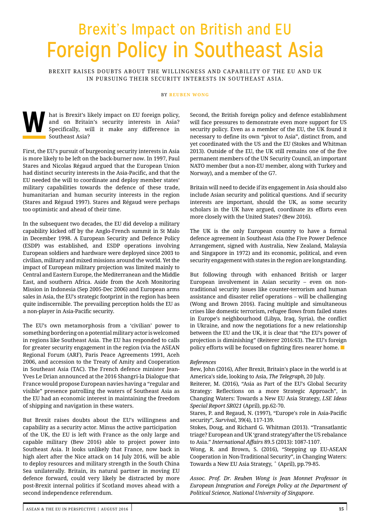# Brexit's Impact on British and EU Foreign Policy in Southeast Asia

BREXIT RAISES DOUBTS ABOUT THE WILLINGNESS AND CAPABILITY OF THE EU AND UK IN PURSUING THEIR SECURITY INTERESTS IN SOUTHEAST ASIA.

#### BY **REUBEN WONG**

and on Britain's security interests in Asia?<br>Specifically, will it make any difference in<br>Southeast Asia? and on Britain's security interests in Asia? Specifically, will it make any difference in Southeast Asia?

First, the EU's pursuit of burgeoning security interests in Asia is more likely to be left on the back-burner now. In 1997, Paul Stares and Nicolas Régaud argued that the European Union had distinct security interests in the Asia-Pacific, and that the EU needed the will to coordinate and deploy member states' military capabilities towards the defence of these trade, humanitarian and human security interests in the region (Stares and Régaud 1997). Stares and Régaud were perhaps too optimistic and ahead of their time.

In the subsequent two decades, the EU did develop a military capability kicked off by the Anglo-French summit in St Malo in December 1998. A European Security and Defence Policy (ESDP) was established, and ESDP operations involving European soldiers and hardware were deployed since 2003 to civilian, military and mixed missions around the world. Yet the impact of European military projection was limited mainly to Central and Eastern Europe, the Mediterranean and the Middle East, and southern Africa. Aside from the Aceh Monitoring Mission in Indonesia (Sep 2005-Dec 2006) and European arms sales in Asia, the EU's strategic footprint in the region has been quite indiscernible. The prevailing perception holds the EU as a non-player in Asia-Pacific security.

The EU's own metamorphosis from a 'civilian' power to something bordering on a potential military actor is welcomed in regions like Southeast Asia. The EU has responded to calls for greater security engagement in the region (via the ASEAN Regional Forum (ARF), Paris Peace Agreements 1991, Aceh 2006, and accession to the Treaty of Amity and Cooperation in Southeast Asia (TAC). The French defence minister Jean-Yves Le Drian announced at the 2016 Shangri-la Dialogue that France would propose European navies having a "regular and visible" presence patrolling the waters of Southeast Asia as the EU had an economic interest in maintaining the freedom of shipping and navigation in these waters.

But Brexit raises doubts about the EU's willingness and capability as a security actor. Minus the active participation of the UK, the EU is left with France as the only large and capable military (Bew 2016) able to project power into Southeast Asia. It looks unlikely that France, now back in high alert after the Nice attack on 14 July 2016, will be able to deploy resources and military strength in the South China Sea unilaterally. Britain, its natural partner in moving EU defence forward, could very likely be distracted by more post-Brexit internal politics if Scotland moves ahead with a second independence referendum.

Second, the British foreign policy and defence establishment will face pressures to demonstrate even more support for US security policy. Even as a member of the EU, the UK found it necessary to define its own "pivot to Asia", distinct from, and yet coordinated with the US and the EU (Stokes and Whitman 2013). Outside of the EU, the UK still remains one of the five permanent members of the UN Security Council, an important NATO member (but a non-EU member, along with Turkey and Norway), and a member of the G7.

Britain will need to decide if its engagement in Asia should also include Asian security and political questions. And if security interests are important, should the UK, as some security scholars in the UK have argued, coordinate its efforts even more closely with the United States? (Bew 2016).

The UK is the only European country to have a formal defence agreement in Southeast Asia (the Five Power Defence Arrangement, signed with Australia, New Zealand, Malaysia and Singapore in 1972) and its economic, political, and even security engagement with states in the region are longstanding.

But following through with enhanced British or larger European involvement in Asian security – even on nontraditional security issues like counter-terrorism and human assistance and disaster relief operations – will be challenging (Wong and Brown 2016). Facing multiple and simultaneous crises like domestic terrorism, refugee flows from failed states in Europe's neighbourhood (Libya, Iraq, Syria), the conflict in Ukraine, and now the negotiations for a new relationship between the EU and the UK, it is clear that "the EU's power of projection is diminishing" (Reiterer 2016:63). The EU's foreign policy efforts will be focused on fighting fires nearer home. ■

#### *References*

Bew, John (2016), After Brexit, Britain's place in the world is at America's side, looking to Asia, *The Telegraph*, 20 July.

Reiterer, M. (2016), "Asia as Part of the EU's Global Security Strategy: Reflections on a more Strategic Approach", in Changing Waters: Towards a New EU Asia Strategy, *LSE Ideas Special Report SR021* (April), pp.62-70.

Stares, P. and Regaud, N. (1997), "Europe's role in Asia-Pacific security", *Survival*, 39(4), 117-139.

Stokes, Doug, and Richard G. Whitman (2013). "Transatlantic triage? European and UK 'grand strategy'after the US rebalance to Asia." *International Affairs* 89.5 (2013): 1087-1107.

Wong, R. and Brown, S. (2016), "Stepping up EU-ASEAN Cooperation in Non-Traditional Security", in Changing Waters: Towards a New EU Asia Strategy, ˆ (April), pp.79-85.

*Assoc. Prof. Dr. Reuben Wong is Jean Monnet Professor in European Integration and Foreign Policy at the Department of Political Science, National University of Singapore.*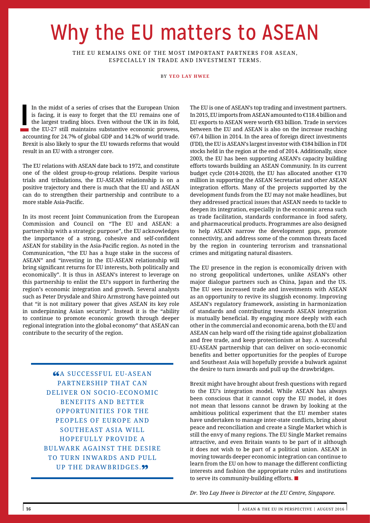# Why the EU matters to ASEAN

THE EU REMAINS ONE OF THE MOST IMPORTANT PARTNERS FOR ASEAN, ESPECIALLY IN TRADE AND INVESTMENT TERMS.

BY **YEO LAY HWEE** 

In the midst of a series of crises that the European Union is facing, it is easy to forget that the EU remains one of the largest trading blocs. Even without the UK in its fold, the EU-27 still maintains substantive econom In the midst of a series of crises that the European Union is facing, it is easy to forget that the EU remains one of the largest trading blocs. Even without the UK in its fold, accounting for 24.7% of global GDP and 14.2% of world trade. Brexit is also likely to spur the EU towards reforms that would result in an EU with a stronger core.

The EU relations with ASEAN date back to 1972, and constitute one of the oldest group-to-group relations. Despite various trials and tribulations, the EU-ASEAN relationship is on a positive trajectory and there is much that the EU and ASEAN can do to strengthen their partnership and contribute to a more stable Asia-Pacific.

In its most recent Joint Communication from the European Commission and Council on "The EU and ASEAN: a partnership with a strategic purpose", the EU acknowledges the importance of a strong, cohesive and self-confident ASEAN for stability in the Asia-Pacific region. As noted in the Communication, "the EU has a huge stake in the success of ASEAN" and "investing in the EU-ASEAN relationship will bring significant returns for EU interests, both politically and economically". It is thus in ASEAN's interest to leverage on this partnership to enlist the EU's support in furthering the region's economic integration and growth. Several analysts such as Peter Drysdale and Shiro Armstrong have pointed out that "it is not military power that gives ASEAN its key role in underpinning Asian security". Instead it is the "ability to continue to promote economic growth through deeper regional integration into the global economy" that ASEAN can contribute to the security of the region.

> **66A SUCCESSFUL EU-ASEAN** PARTNERSHIP THAT CAN DELIVER ON SOCIO -ECONOMIC BENEFITS AND BETTER OPPORTUNITIES FOR THE PEOPLES OF EUROPE AND SOUTHEAST ASIA WILL HOPEFULLY PROVIDE A BULWARK AGAINST THE DESIRE TO TURN INWARDS AND PULL UP THE DRAWBRIDGES.<sup>99</sup>

The EU is one of ASEAN's top trading and investment partners. In 2015, EU imports from ASEAN amounted to €118.4 billion and EU exports to ASEAN were worth €83 billion. Trade in services between the EU and ASEAN is also on the increase reaching €67.4 billion in 2014. In the area of foreign direct investments (FDI), the EU is ASEAN's largest investor with €184 billion in FDI stocks held in the region at the end of 2014. Additionally, since 2003, the EU has been supporting ASEAN's capacity building efforts towards building an ASEAN Community. In its current budget cycle (2014-2020), the EU has allocated another €170 million in supporting the ASEAN Secretariat and other ASEAN integration efforts. Many of the projects supported by the development funds from the EU may not make headlines, but they addressed practical issues that ASEAN needs to tackle to deepen its integration, especially in the economic arena such as trade facilitation, standards conformance in food safety, and pharmaceutical products. Programmes are also designed to help ASEAN narrow the development gaps, promote connectivity, and address some of the common threats faced by the region in countering terrorism and transnational crimes and mitigating natural disasters.

The EU presence in the region is economically driven with no strong geopolitical undertones, unlike ASEAN's other major dialogue partners such as China, Japan and the US. The EU sees increased trade and investments with ASEAN as an opportunity to revive its sluggish economy. Improving ASEAN's regulatory framework, assisting in harmonization of standards and contributing towards ASEAN integration is mutually beneficial. By engaging more deeply with each other in the commercial and economic arena, both the EU and ASEAN can help ward off the rising tide against globalization and free trade, and keep protectionism at bay. A successful EU-ASEAN partnership that can deliver on socio-economic benefits and better opportunities for the peoples of Europe and Southeast Asia will hopefully provide a bulwark against the desire to turn inwards and pull up the drawbridges.

Brexit might have brought about fresh questions with regard to the EU's integration model. While ASEAN has always been conscious that it cannot copy the EU model, it does not mean that lessons cannot be drawn by looking at the ambitious political experiment that the EU member states have undertaken to manage inter-state conflicts, bring about peace and reconciliation and create a Single Market which is still the envy of many regions. The EU Single Market remains attractive, and even Britain wants to be part of it although it does not wish to be part of a political union. ASEAN in moving towards deeper economic integration can continue to learn from the EU on how to manage the different conflicting interests and fashion the appropriate rules and institutions to serve its community-building efforts. ■

*Dr. Yeo Lay Hwee is Director at the EU Centre, Singapore.*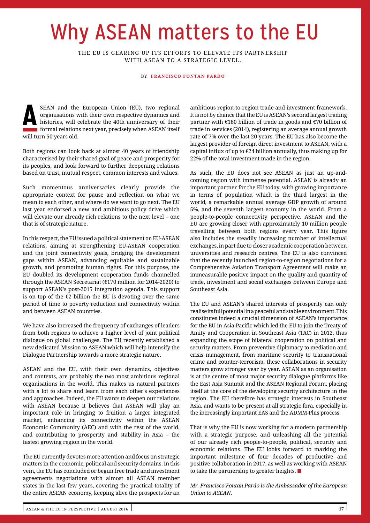# Why ASEAN matters to the EU

THE EU IS GEARING UP ITS EFFORTS TO ELEVATE ITS PARTNERSHIP WITH ASEAN TO A STRATEGIC LEVEL.

#### BY **FRANCISCO FONTAN PARDO**

**A** SEAN and the European Union (EU), two regional organisations with their own respective dynamics and histories, will celebrate the 40th anniversary of their formal relations next year, precisely when ASEAN itself organisations with their own respective dynamics and histories, will celebrate the 40th anniversary of their will turn 50 years old.

Both regions can look back at almost 40 years of friendship characterised by their shared goal of peace and prosperity for its peoples, and look forward to further deepening relations based on trust, mutual respect, common interests and values.

Such momentous anniversaries clearly provide the appropriate context for pause and reflection on what we mean to each other, and where do we want to go next. The EU last year endorsed a new and ambitious policy drive which will elevate our already rich relations to the next level – one that is of strategic nature.

In this respect, the EU issued a political statement on EU-ASEAN relations, aiming at strengthening EU-ASEAN cooperation and the joint connectivity goals, bridging the development gaps within ASEAN, advancing equitable and sustainable growth, and promoting human rights. For this purpose, the EU doubled its development cooperation funds channelled through the ASEAN Secretariat (€170 million for 2014-2020) to support ASEAN's post-2015 integration agenda. This support is on top of the  $E2$  billion the EU is devoting over the same period of time to poverty reduction and connectivity within and between ASEAN countries.

We have also increased the frequency of exchanges of leaders from both regions to achieve a higher level of joint political dialogue on global challenges. The EU recently established a new dedicated Mission to ASEAN which will help intensify the Dialogue Partnership towards a more strategic nature.

ASEAN and the EU, with their own dynamics, objectives and contexts, are probably the two most ambitious regional organisations in the world. This makes us natural partners with a lot to share and learn from each other's experiences and approaches. Indeed, the EU wants to deepen our relations with ASEAN because it believes that ASEAN will play an important role in bringing to fruition a larger integrated market, enhancing its connectivity within the ASEAN Economic Community (AEC) and with the rest of the world, and contributing to prosperity and stability in Asia – the fastest growing region in the world.

The EU currently devotes more attention and focus on strategic matters in the economic, political and security domains. In this vein, the EU has concluded or begun free trade and investment agreements negotiations with almost all ASEAN member states in the last few years, covering the practical totality of the entire ASEAN economy, keeping alive the prospects for an

ambitious region-to-region trade and investment framework. It is not by chance that the EU is ASEAN's second largest trading partner with €180 billion of trade in goods and €70 billion of trade in services (2014), registering an average annual growth rate of 7% over the last 20 years. The EU has also become the largest provider of foreign direct investment to ASEAN, with a capital influx of up to €24 billion annually, thus making up for 22% of the total investment made in the region.

As such, the EU does not see ASEAN as just an up-andcoming region with immense potential. ASEAN is already an important partner for the EU today, with growing importance in terms of population which is the third largest in the world, a remarkable annual average GDP growth of around 5%, and the seventh largest economy in the world. From a people-to-people connectivity perspective, ASEAN and the EU are growing closer with approximately 10 million people travelling between both regions every year. This figure also includes the steadily increasing number of intellectual exchanges, in part due to closer academic cooperation between universities and research centres. The EU is also convinced that the recently launched region-to-region negotiations for a Comprehensive Aviation Transport Agreement will make an immeasurable positive impact on the quality and quantity of trade, investment and social exchanges between Europe and Southeast Asia.

The EU and ASEAN's shared interests of prosperity can only realise its full potential in a peaceful and stable environment. This constitutes indeed a crucial dimension of ASEAN's importance for the EU in Asia-Pacific which led the EU to join the Treaty of Amity and Cooperation in Southeast Asia (TAC) in 2012, thus expanding the scope of bilateral cooperation on political and security matters. From preventive diplomacy to mediation and crisis management, from maritime security to transnational crime and counter-terrorism, these collaborations in security matters grow stronger year by year. ASEAN as an organisation is at the centre of most major security dialogue platforms like the East Asia Summit and the ASEAN Regional Forum, placing itself at the core of the developing security architecture in the region. The EU therefore has strategic interests in Southeast Asia, and wants to be present at all strategic fora, especially in the increasingly important EAS and the ADMM-Plus process.

That is why the EU is now working for a modern partnership with a strategic purpose, and unleashing all the potential of our already rich people-to-people, political, security and economic relations. The EU looks forward to marking the important milestone of four decades of productive and positive collaboration in 2017, as well as working with ASEAN to take the partnership to greater heights. ■

*Mr. Francisco Fontan Pardo is the Ambassador of the European Union to ASEAN.*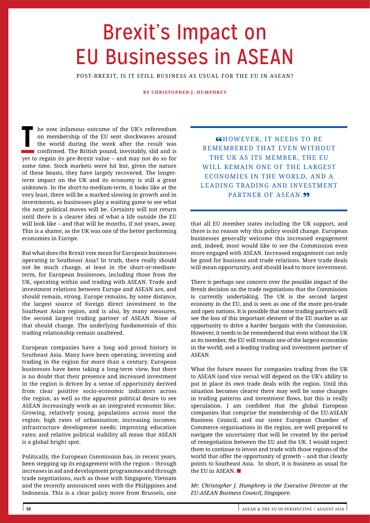# Brexit's Impact on EU Businesses in ASEAN

POST-BREXIT, IS IT STILL BUSINESS AS USUAL FOR THE EU IN ASEAN?

BY **CHRISTOPHER J. HUMPHREY**

**THE HE NOW INCOCOLLET SHOW ON METHOD ON METAL ON MORE THE WORLD ON METAL THE WORLD ON MORE CONTINUES TO CONTINUES THE SURFERENDIAN CONTINUES CONTINUES ON THE BRITISH pound, inevitably, slid and is** on membership of the EU sent shockwaves around the world during the week after the result was confirmed. The British pound, inevitably, slid and is yet to regain its pre-Brexit value – and may not do so for some time. Stock markets were hit but, given the nature of these beasts, they have largely recovered. The longerterm impact on the UK and its economy is still a great unknown. In the short-to-medium-term, it looks like at the very least, there will be a marked slowing in growth and in investments, as businesses play a waiting game to see what the next political moves will be. Certainty will not return until there is a clearer idea of what a life outside the EU will look like – and that will be months, if not years, away. This is a shame, as the UK was one of the better performing economies in Europe.

But what does the Brexit vote mean for European businesses operating in Southeast Asia? In truth, there really should not be much change, at least in the short-or-mediumterm, for European businesses, including those from the UK, operating within and trading with ASEAN. Trade and investment relations between Europe and ASEAN are, and should remain, strong. Europe remains, by some distance, the largest source of foreign direct investment to the Southeast Asian region, and is also, by many measures, the second largest trading partner of ASEAN. None of that should change. The underlying fundamentals of this trading relationship remain unaltered.

European companies have a long and proud history in Southeast Asia. Many have been operating, investing and trading in the region for more than a century. European businesses have been taking a long-term view, but there is no doubt that their presence and increased investment in the region is driven by a sense of opportunity derived from clear positive socio-economic indicators across the region, as well as the apparent political desire to see ASEAN increasingly work as an integrated economic bloc. Growing, relatively young, populations across most the region; high rates of urbanisation; increasing incomes; infrastructure development needs; improving education rates; and relative political stability all mean that ASEAN is a global bright spot.

Politically, the European Commission has, in recent years, been stepping up its engagement with the region – through increases in aid and development programmes and through trade negotiations, such as those with Singapore, Vietnam and the recently announced ones with the Philippines and Indonesia. This is a clear policy move from Brussels, one

**GHOWEVER, IT NEEDS TO BE** REMEMBERED THAT EVEN WITHOUT THE UK AS ITS MEMBER, THE EU WILL REMAIN ONE OF THE LARGEST ECONOMIES IN THE WORLD, AND A LEADING TRADING AND INVESTMENT PARTNER OF ASEAN.<sup>99</sup>

that all EU member states including the UK support, and there is no reason why this policy would change. European businesses generally welcome this increased engagement and, indeed, most would like to see the Commission even more engaged with ASEAN. Increased engagement can only be good for business and trade relations. More trade deals will mean opportunity, and should lead to more investment.

There is perhaps one concern over the possible impact of the Brexit decision on the trade negotiations that the Commission is currently undertaking. The UK is the second largest economy in the EU, and is seen as one of the more pro-trade and open nations. It is possible that some trading partners will see the loss of this important element of the EU market as an opportunity to drive a harder bargain with the Commission. However, it needs to be remembered that even without the UK as its member, the EU will remain one of the largest economies in the world, and a leading trading and investment partner of ASEAN.

What the future means for companies trading from the UK to ASEAN (and vice versa) will depend on the UK's ability to put in place its own trade deals with the region. Until this situation becomes clearer there may well be some changes in trading patterns and investment flows, but this is really speculation. I am confident that the global European companies that comprise the membership of the EU-ASEAN Business Council, and our sister European Chamber of Commerce organisations in the region, are well prepared to navigate the uncertainty that will be created by the period of renegotiation between the EU and the UK. I would expect them to continue to invest and trade with those regions of the world that offer the opportunity of growth – and that clearly points to Southeast Asia. In short, it is business as usual for the EU in ASEAN. ■

*Mr. Christopher J. Humphrey is the Executive Director at the EU-ASEAN Business Council, Singapore.*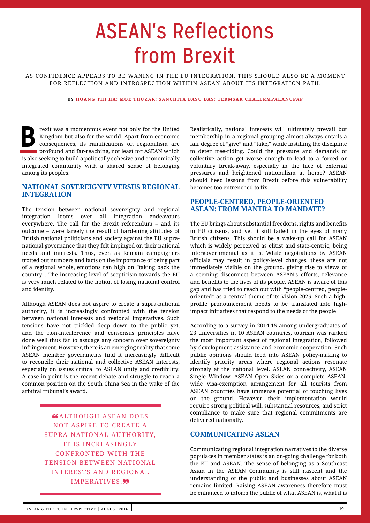# ASEAN's Reflections from Brexit

AS CONFIDENCE APPEARS TO BE WANING IN THE EU INTEGRATION, THIS SHOULD ALSO BE A MOMENT FOR REFLECTION AND INTROSPECTION WITHIN ASEAN ABOUT ITS INTEGRATION PATH.

## BY **HOANG THI HA; MOE THUZAR; SANCHITA BASU DAS; TERMSAK CHALERMPALANUPAP**

Frexit was a momentous event not only for the United<br>Kingdom but also for the world. Apart from economic<br>consequences, its ramifications on regionalism are<br>profound and far-reaching, not least for ASEAN which Kingdom but also for the world. Apart from economic consequences, its ramifications on regionalism are profound and far-reaching, not least for ASEAN which is also seeking to build a politically cohesive and economically integrated community with a shared sense of belonging among its peoples.

# **NATIONAL SOVEREIGNTY VERSUS REGIONAL INTEGRATION**

The tension between national sovereignty and regional integration looms over all integration endeavours everywhere. The call for the Brexit referendum – and its outcome – were largely the result of hardening attitudes of British national politicians and society against the EU supranational governance that they felt impinged on their national needs and interests. Thus, even as Remain campaigners trotted out numbers and facts on the importance of being part of a regional whole, emotions ran high on "taking back the country". The increasing level of scepticism towards the EU is very much related to the notion of losing national control and identity.

Although ASEAN does not aspire to create a supra-national authority, it is increasingly confronted with the tension between national interests and regional imperatives. Such tensions have not trickled deep down to the public yet, and the non-interference and consensus principles have done well thus far to assuage any concern over sovereignty infringement. However, there is an emerging reality that some ASEAN member governments find it increasingly difficult to reconcile their national and collective ASEAN interests, especially on issues critical to ASEAN unity and credibility. A case in point is the recent debate and struggle to reach a common position on the South China Sea in the wake of the arbitral tribunal's award.

> **CALTHOUGH ASEAN DOES** NOT ASPIRE TO CREATE A SUPRA-NATIONAL AUTHORITY, IT IS INCREASINGLY CONFRONTED WITH THE TENSION BETWEEN NATIONAL INTERESTS AND REGIONAL IMPERATIVES.<sup>99</sup>

Realistically, national interests will ultimately prevail but membership in a regional grouping almost always entails a fair degree of "give" and "take," while instilling the discipline to deter free-riding. Could the pressure and demands of collective action get worse enough to lead to a forced or voluntary break-away, especially in the face of external pressures and heightened nationalism at home? ASEAN should heed lessons from Brexit before this vulnerability becomes too entrenched to fix.

# **PEOPLE-CENTRED, PEOPLE-ORIENTED ASEAN: FROM MANTRA TO MANDATE?**

The EU brings about substantial freedoms, rights and benefits to EU citizens, and yet it still failed in the eyes of many British citizens. This should be a wake-up call for ASEAN which is widely perceived as elitist and state-centric, being intergovernmental as it is. While negotiations by ASEAN officials may result in policy-level changes, these are not immediately visible on the ground, giving rise to views of a seeming disconnect between ASEAN's efforts, relevance and benefits to the lives of its people. ASEAN is aware of this gap and has tried to reach out with "people-centred, peopleoriented" as a central theme of its Vision 2025. Such a highprofile pronouncement needs to be translated into highimpact initiatives that respond to the needs of the people.

According to a survey in 2014-15 among undergraduates of 23 universities in 10 ASEAN countries, tourism was ranked the most important aspect of regional integration, followed by development assistance and economic cooperation. Such public opinions should feed into ASEAN policy-making to identify priority areas where regional actions resonate strongly at the national level. ASEAN connectivity, ASEAN Single Window, ASEAN Open Skies or a complete ASEANwide visa-exemption arrangement for all tourists from ASEAN countries have immense potential of touching lives on the ground. However, their implementation would require strong political will, substantial resources, and strict compliance to make sure that regional commitments are delivered nationally.

# **COMMUNICATING ASEAN**

Communicating regional integration narratives to the diverse populaces in member states is an on-going challenge for both the EU and ASEAN. The sense of belonging as a Southeast Asian in the ASEAN Community is still nascent and the understanding of the public and businesses about ASEAN remains limited. Raising ASEAN awareness therefore must be enhanced to inform the public of what ASEAN is, what it is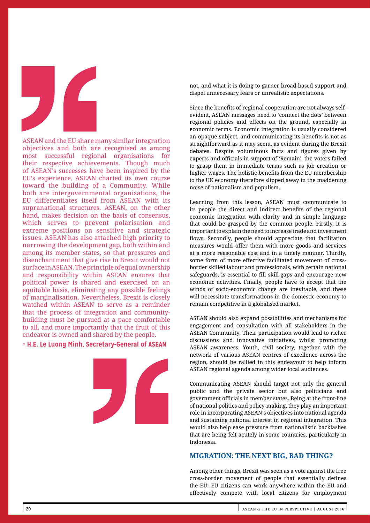

ASEAN and the EU share many similar integration objectives and both are recognised as among most successful regional organisations for their respective achievements. Though much of ASEAN's successes have been inspired by the EU's experience, ASEAN charted its own course toward the building of a Community. While both are intergovernmental organisations, the EU differentiates itself from ASEAN with its supranational structures. ASEAN, on the other hand, makes decision on the basis of consensus, which serves to prevent polarisation and extreme positions on sensitive and strategic issues. ASEAN has also attached high priority to narrowing the development gap, both within and among its member states, so that pressures and disenchantment that give rise to Brexit would not surface in ASEAN. The principle of equal ownership and responsibility within ASEAN ensures that political power is shared and exercised on an equitable basis, eliminating any possible feelings of marginalisation. Nevertheless, Brexit is closely watched within ASEAN to serve as a reminder that the process of integration and communitybuilding must be pursued at a pace comfortable to all, and more importantly that the fruit of this endeavor is owned and shared by the people.

# **~ H.E. Le Luong Minh, Secretary-General of ASEAN**



not, and what it is doing to garner broad-based support and dispel unnecessary fears or unrealistic expectations.

Since the benefits of regional cooperation are not always selfevident, ASEAN messages need to 'connect the dots' between regional policies and effects on the ground, especially in economic terms. Economic integration is usually considered an opaque subject, and communicating its benefits is not as straightforward as it may seem, as evident during the Brexit debates. Despite voluminous facts and figures given by experts and officials in support of 'Remain', the voters failed to grasp them in immediate terms such as job creation or higher wages. The holistic benefits from the EU membership to the UK economy therefore slipped away in the maddening noise of nationalism and populism.

Learning from this lesson, ASEAN must communicate to its people the direct and indirect benefits of the regional economic integration with clarity and in simple language that could be grasped by the common people. Firstly, it is important to explain the need to increase trade and investment flows. Secondly, people should appreciate that facilitation measures would offer them with more goods and services at a more reasonable cost and in a timely manner. Thirdly, some form of more effective facilitated movement of crossborder skilled labour and professionals, with certain national safeguards, is essential to fill skill-gaps and encourage new economic activities. Finally, people have to accept that the winds of socio-economic change are inevitable, and these will necessitate transformations in the domestic economy to remain competitive in a globalised market.

ASEAN should also expand possibilities and mechanisms for engagement and consultation with all stakeholders in the ASEAN Community. Their participation would lead to richer discussions and innovative initiatives, whilst promoting ASEAN awareness. Youth, civil society, together with the network of various ASEAN centres of excellence across the region, should be rallied in this endeavour to help inform ASEAN regional agenda among wider local audiences.

Communicating ASEAN should target not only the general public and the private sector but also politicians and government officials in member states. Being at the front-line of national politics and policy-making, they play an important role in incorporating ASEAN's objectives into national agenda and sustaining national interest in regional integration. This would also help ease pressure from nationalistic backlashes that are being felt acutely in some countries, particularly in Indonesia.

## **MIGRATION: THE NEXT BIG, BAD THING?**

Among other things, Brexit was seen as a vote against the free cross-border movement of people that essentially defines the EU. EU citizens can work anywhere within the EU and effectively compete with local citizens for employment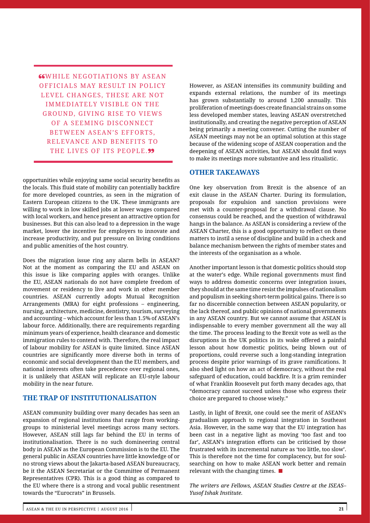**"WHILE NEGOTIATIONS BY ASEAN** OFFICIALS MAY RESULT IN POLICY LEVEL CHANGES, THESE ARE NOT IMMEDIATELY VISIBLE ON THE GROUND, GIVING RISE TO VIEWS OF A SEEMING DISCONNECT BETWEEN ASEAN'S EFFORTS, RELEVANCE AND BENEFITS TO THE LIVES OF ITS PEOPLE.99

opportunities while enjoying same social security benefits as the locals. This fluid state of mobility can potentially backfire for more developed countries, as seen in the migration of Eastern European citizens to the UK. These immigrants are willing to work in low skilled jobs at lower wages compared with local workers, and hence present an attractive option for businesses. But this can also lead to a depression in the wage market, lower the incentive for employers to innovate and increase productivity, and put pressure on living conditions and public amenities of the host country.

Does the migration issue ring any alarm bells in ASEAN? Not at the moment as comparing the EU and ASEAN on this issue is like comparing apples with oranges. Unlike the EU, ASEAN nationals do not have complete freedom of movement or residency to live and work in other member countries. ASEAN currently adopts Mutual Recognition Arrangements (MRA) for eight professions – engineering, nursing, architecture, medicine, dentistry, tourism, surveying and accounting – which account for less than 1.5% of ASEAN's labour force. Additionally, there are requirements regarding minimum years of experience, health clearance and domestic immigration rules to contend with. Therefore, the real impact of labour mobility for ASEAN is quite limited. Since ASEAN countries are significantly more diverse both in terms of economic and social development than the EU members, and national interests often take precedence over regional ones, it is unlikely that ASEAN will replicate an EU-style labour mobility in the near future.

# **THE TRAP OF INSTITUTIONALISATION**

ASEAN community building over many decades has seen an expansion of regional institutions that range from workinggroups to ministerial level meetings across many sectors. However, ASEAN still lags far behind the EU in terms of institutionalisation. There is no such domineering central body in ASEAN as the European Commission is to the EU. The general public in ASEAN countries have little knowledge of or no strong views about the Jakarta-based ASEAN bureaucracy, be it the ASEAN Secretariat or the Committee of Permanent Representatives (CPR). This is a good thing as compared to the EU where there is a strong and vocal public resentment towards the "Eurocrats" in Brussels.

However, as ASEAN intensifies its community building and expands external relations, the number of its meetings has grown substantially to around 1,200 annually. This proliferation of meetings does create financial strains on some less developed member states, leaving ASEAN overstretched institutionally, and creating the negative perception of ASEAN being primarily a meeting convener. Cutting the number of ASEAN meetings may not be an optimal solution at this stage because of the widening scope of ASEAN cooperation and the deepening of ASEAN activities, but ASEAN should find ways to make its meetings more substantive and less ritualistic.

# **OTHER TAKEAWAYS**

One key observation from Brexit is the absence of an exit clause in the ASEAN Charter. During its formulation, proposals for expulsion and sanction provisions were met with a counter-proposal for a withdrawal clause. No consensus could be reached, and the question of withdrawal hangs in the balance. As ASEAN is considering a review of the ASEAN Charter, this is a good opportunity to reflect on these matters to instil a sense of discipline and build in a check and balance mechanism between the rights of member states and the interests of the organisation as a whole.

Another important lesson is that domestic politics should stop at the water's edge. While regional governments must find ways to address domestic concerns over integration issues, they should at the same time resist the impulses of nationalism and populism in seeking short-term political gains. There is so far no discernible connection between ASEAN popularity, or the lack thereof, and public opinions of national governments in any ASEAN country. But we cannot assume that ASEAN is indispensable to every member government all the way all the time. The process leading to the Brexit vote as well as the disruptions in the UK politics in its wake offered a painful lesson about how domestic politics, being blown out of proportions, could reverse such a long-standing integration process despite prior warnings of its grave ramifications. It also shed light on how an act of democracy, without the real safeguard of education, could backfire. It is a grim reminder of what Franklin Roosevelt put forth many decades ago, that "democracy cannot succeed unless those who express their choice are prepared to choose wisely."

Lastly, in light of Brexit, one could see the merit of ASEAN's gradualism approach to regional integration in Southeast Asia. However, in the same way that the EU integration has been cast in a negative light as moving 'too fast and too far', ASEAN's integration efforts can be criticised by those frustrated with its incremental nature as 'too little, too slow'. This is therefore not the time for complacency, but for soulsearching on how to make ASEAN work better and remain relevant with the changing times. ■

*The writers are Fellows, ASEAN Studies Centre at the ISEAS– Yusof Ishak Institute.*